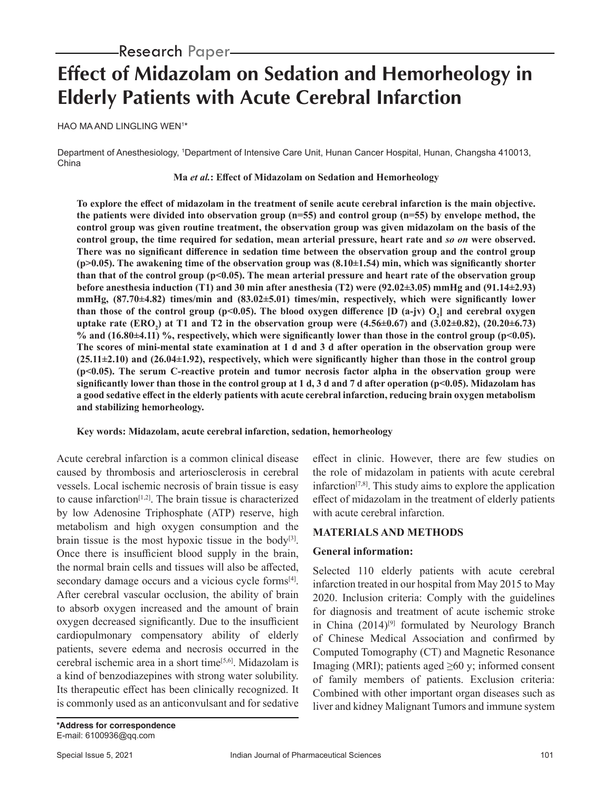# **Effect of Midazolam on Sedation and Hemorheology in Elderly Patients with Acute Cerebral Infarction**

HAO MA AND LINGLING WEN1 \*

Department of Anesthesiology, 1Department of Intensive Care Unit, Hunan Cancer Hospital, Hunan, Changsha 410013, China

#### **Ma** *et al.***: Effect of Midazolam on Sedation and Hemorheology**

**To explore the effect of midazolam in the treatment of senile acute cerebral infarction is the main objective. the patients were divided into observation group (n=55) and control group (n=55) by envelope method, the control group was given routine treatment, the observation group was given midazolam on the basis of the control group, the time required for sedation, mean arterial pressure, heart rate and** *so on* **were observed. There was no significant difference in sedation time between the observation group and the control group (p>0.05). The awakening time of the observation group was (8.10±1.54) min, which was significantly shorter than that of the control group (p<0.05). The mean arterial pressure and heart rate of the observation group before anesthesia induction (T1) and 30 min after anesthesia (T2) were (92.02±3.05) mmHg and (91.14±2.93) mmHg, (87.70±4.82) times/min and (83.02±5.01) times/min, respectively, which were significantly lower**  than those of the control group (p<0.05). The blood oxygen difference [D (a-jv)  $O_2$ ] and cerebral oxygen **uptake rate (ERO2 ) at T1 and T2 in the observation group were (4.56±0.67) and (3.02±0.82), (20.20±6.73) % and (16.80±4.11) %, respectively, which were significantly lower than those in the control group (p<0.05). The scores of mini-mental state examination at 1 d and 3 d after operation in the observation group were (25.11±2.10) and (26.04±1.92), respectively, which were significantly higher than those in the control group (p<0.05). The serum C-reactive protein and tumor necrosis factor alpha in the observation group were significantly lower than those in the control group at 1 d, 3 d and 7 d after operation (p<0.05). Midazolam has a good sedative effect in the elderly patients with acute cerebral infarction, reducing brain oxygen metabolism and stabilizing hemorheology.**

## **Key words: Midazolam, acute cerebral infarction, sedation, hemorheology**

Acute cerebral infarction is a common clinical disease caused by thrombosis and arteriosclerosis in cerebral vessels. Local ischemic necrosis of brain tissue is easy to cause infarction[1,2]. The brain tissue is characterized by low Adenosine Triphosphate (ATP) reserve, high metabolism and high oxygen consumption and the brain tissue is the most hypoxic tissue in the body<sup>[3]</sup>. Once there is insufficient blood supply in the brain, the normal brain cells and tissues will also be affected, secondary damage occurs and a vicious cycle forms<sup>[4]</sup>. After cerebral vascular occlusion, the ability of brain to absorb oxygen increased and the amount of brain oxygen decreased significantly. Due to the insufficient cardiopulmonary compensatory ability of elderly patients, severe edema and necrosis occurred in the cerebral ischemic area in a short time[5,6]. Midazolam is a kind of benzodiazepines with strong water solubility. Its therapeutic effect has been clinically recognized. It is commonly used as an anticonvulsant and for sedative

effect in clinic. However, there are few studies on the role of midazolam in patients with acute cerebral infarction $[7,8]$ . This study aims to explore the application effect of midazolam in the treatment of elderly patients with acute cerebral infarction.

## **MATERIALS AND METHODS**

## **General information:**

Selected 110 elderly patients with acute cerebral infarction treated in our hospital from May 2015 to May 2020. Inclusion criteria: Comply with the guidelines for diagnosis and treatment of acute ischemic stroke in China  $(2014)^{9}$  formulated by Neurology Branch of Chinese Medical Association and confirmed by Computed Tomography (CT) and Magnetic Resonance Imaging (MRI); patients aged  $\geq 60$  y; informed consent of family members of patients. Exclusion criteria: Combined with other important organ diseases such as liver and kidney Malignant Tumors and immune system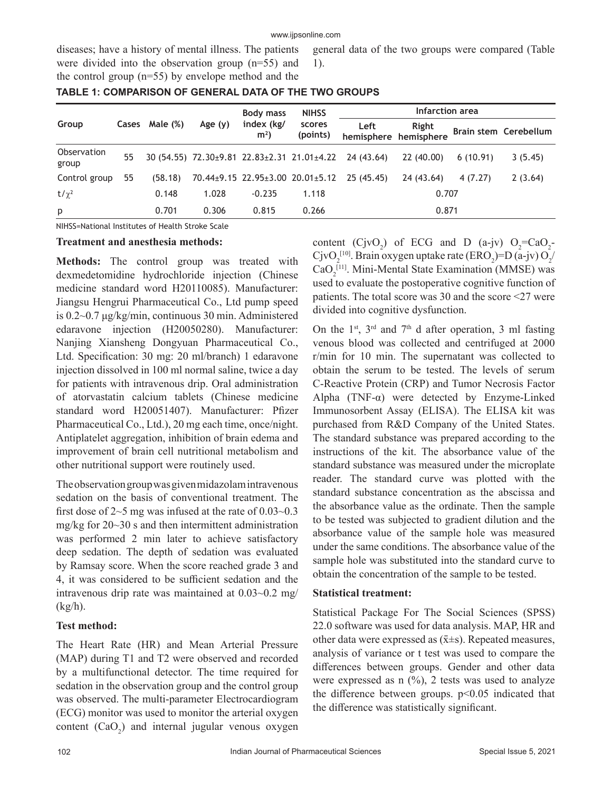#### www.ijpsonline.com

diseases; have a history of mental illness. The patients were divided into the observation group (n=55) and the control group (n=55) by envelope method and the

general data of the two groups were compared (Table 1).

|                      |    |                |           | <b>Body mass</b>             | <b>NIHSS</b>       | Infarction area                                                      |                                |          |                       |
|----------------------|----|----------------|-----------|------------------------------|--------------------|----------------------------------------------------------------------|--------------------------------|----------|-----------------------|
| Group                |    | Cases Male (%) | Age $(y)$ | index (kg/<br>m <sup>2</sup> | scores<br>(points) | Left                                                                 | Right<br>hemisphere hemisphere |          | Brain stem Cerebellum |
| Observation<br>group | 55 |                |           |                              |                    | $30(54.55)$ $72.30\pm9.81$ $22.83\pm2.31$ $21.01\pm4.22$ $24(43.64)$ | 22 (40.00)                     | 6(10.91) | 3(5.45)               |
| Control group        | 55 | (58.18)        |           |                              |                    | 70.44±9.15 22.95±3.00 20.01±5.12 25 (45.45)                          | 24 (43.64)                     | 4(7.27)  | 2(3.64)               |
| $t/\chi^2$           |    | 0.148          | 1.028     | $-0.235$                     | 1.118              |                                                                      | 0.707                          |          |                       |
| p                    |    | 0.701          | 0.306     | 0.815                        | 0.266              |                                                                      | 0.871                          |          |                       |

## **TABLE 1: COMPARISON OF GENERAL DATA OF THE TWO GROUPS**

NIHSS=National Institutes of Health Stroke Scale

#### **Treatment and anesthesia methods:**

**Methods:** The control group was treated with dexmedetomidine hydrochloride injection (Chinese medicine standard word H20110085). Manufacturer: Jiangsu Hengrui Pharmaceutical Co., Ltd pump speed is 0.2~0.7 μg/kg/min, continuous 30 min. Administered edaravone injection (H20050280). Manufacturer: Nanjing Xiansheng Dongyuan Pharmaceutical Co., Ltd. Specification: 30 mg: 20 ml/branch) 1 edaravone injection dissolved in 100 ml normal saline, twice a day for patients with intravenous drip. Oral administration of atorvastatin calcium tablets (Chinese medicine standard word H20051407). Manufacturer: Pfizer Pharmaceutical Co., Ltd.), 20 mg each time, once/night. Antiplatelet aggregation, inhibition of brain edema and improvement of brain cell nutritional metabolism and other nutritional support were routinely used.

The observation group was given midazolam intravenous sedation on the basis of conventional treatment. The first dose of  $2~5$  mg was infused at the rate of  $0.03~0.3$ mg/kg for  $20 \sim 30$  s and then intermittent administration was performed 2 min later to achieve satisfactory deep sedation. The depth of sedation was evaluated by Ramsay score. When the score reached grade 3 and 4, it was considered to be sufficient sedation and the intravenous drip rate was maintained at 0.03~0.2 mg/ (kg/h).

#### **Test method:**

The Heart Rate (HR) and Mean Arterial Pressure (MAP) during T1 and T2 were observed and recorded by a multifunctional detector. The time required for sedation in the observation group and the control group was observed. The multi-parameter Electrocardiogram (ECG) monitor was used to monitor the arterial oxygen content  $(CaO_2)$  and internal jugular venous oxygen

content  $(CjvO_2)$  of ECG and D (a-jv)  $O_2 = CaO_2$ -CjvO<sub>2</sub><sup>[10]</sup>. Brain oxygen uptake rate (ERO<sub>2</sub>)=D (a-jv) O<sub>2</sub>/  $CaO<sub>2</sub><sup>[11]</sup>$ . Mini-Mental State Examination (MMSE) was used to evaluate the postoperative cognitive function of patients. The total score was 30 and the score <27 were divided into cognitive dysfunction.

On the  $1<sup>st</sup>$ ,  $3<sup>rd</sup>$  and  $7<sup>th</sup>$  d after operation, 3 ml fasting venous blood was collected and centrifuged at 2000 r/min for 10 min. The supernatant was collected to obtain the serum to be tested. The levels of serum C-Reactive Protein (CRP) and Tumor Necrosis Factor Alpha (TNF- $\alpha$ ) were detected by Enzyme-Linked Immunosorbent Assay (ELISA). The ELISA kit was purchased from R&D Company of the United States. The standard substance was prepared according to the instructions of the kit. The absorbance value of the standard substance was measured under the microplate reader. The standard curve was plotted with the standard substance concentration as the abscissa and the absorbance value as the ordinate. Then the sample to be tested was subjected to gradient dilution and the absorbance value of the sample hole was measured under the same conditions. The absorbance value of the sample hole was substituted into the standard curve to obtain the concentration of the sample to be tested.

#### **Statistical treatment:**

Statistical Package For The Social Sciences (SPSS) 22.0 software was used for data analysis. MAP, HR and other data were expressed as  $(\bar{x} \pm s)$ . Repeated measures, analysis of variance or t test was used to compare the differences between groups. Gender and other data were expressed as  $n$  (%), 2 tests was used to analyze the difference between groups.  $p<0.05$  indicated that the difference was statistically significant.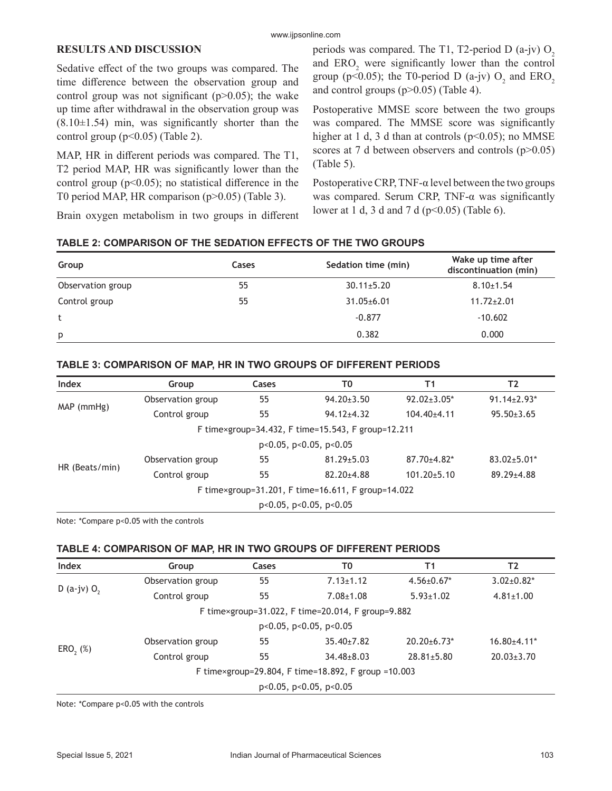## **RESULTS AND DISCUSSION**

Sedative effect of the two groups was compared. The time difference between the observation group and control group was not significant  $(p>0.05)$ ; the wake up time after withdrawal in the observation group was  $(8.10 \pm 1.54)$  min, was significantly shorter than the control group  $(p<0.05)$  (Table 2).

MAP, HR in different periods was compared. The T1, T2 period MAP, HR was significantly lower than the control group ( $p<0.05$ ); no statistical difference in the T0 period MAP, HR comparison (p>0.05) (Table 3).

Brain oxygen metabolism in two groups in different

periods was compared. The T1, T2-period D  $(a-jv)$  O<sub>2</sub> and  $ERO<sub>2</sub>$  were significantly lower than the control group (p<0.05); the T0-period D (a-jv)  $O_2$  and  $ERO_2$ and control groups (p>0.05) (Table 4).

Postoperative MMSE score between the two groups was compared. The MMSE score was significantly higher at 1 d, 3 d than at controls ( $p$ <0.05); no MMSE scores at 7 d between observers and controls  $(p>0.05)$ (Table 5).

Postoperative CRP, TNF- $\alpha$  level between the two groups was compared. Serum CRP, TNF- $\alpha$  was significantly lower at 1 d, 3 d and 7 d ( $p<0.05$ ) (Table 6).

| TABLE 2: COMPARISON OF THE SEDATION EFFECTS OF THE TWO GROUPS |  |  |
|---------------------------------------------------------------|--|--|
|---------------------------------------------------------------|--|--|

| Group             | Cases | Sedation time (min) | Wake up time after<br>discontinuation (min) |
|-------------------|-------|---------------------|---------------------------------------------|
| Observation group | 55    | $30.11 \pm 5.20$    | $8.10 \pm 1.54$                             |
| Control group     | 55    | $31.05 \pm 6.01$    | $11.72 \pm 2.01$                            |
| t                 |       | $-0.877$            | $-10.602$                                   |
| p                 |       | 0.382               | 0.000                                       |

### **TABLE 3: COMPARISON OF MAP, HR IN TWO GROUPS OF DIFFERENT PERIODS**

| Index                                              | Group                                              | Cases | T0               | T1                 | T2                 |  |  |  |
|----------------------------------------------------|----------------------------------------------------|-------|------------------|--------------------|--------------------|--|--|--|
| MAP (mmHg)                                         | Observation group                                  | 55    | $94.20 \pm 3.50$ | $92.02 \pm 3.05^*$ | $91.14 \pm 2.93$ * |  |  |  |
|                                                    | Control group                                      | 55    | $94.12 + 4.32$   | $104.40 + 4.11$    | $95.50 \pm 3.65$   |  |  |  |
| F time×group=34.432, F time=15.543, F group=12.211 |                                                    |       |                  |                    |                    |  |  |  |
| $p<0.05$ , $p<0.05$ , $p<0.05$                     |                                                    |       |                  |                    |                    |  |  |  |
| HR (Beats/min)                                     | Observation group                                  | 55    | $81.29 \pm 5.03$ | $87.70 \pm 4.82$ * | $83.02 \pm 5.01*$  |  |  |  |
|                                                    | Control group                                      | 55    | $82.20 + 4.88$   | $101.20 \pm 5.10$  | $89.29 \pm 4.88$   |  |  |  |
|                                                    | F time×group=31.201, F time=16.611, F group=14.022 |       |                  |                    |                    |  |  |  |
| $p<0.05$ , $p<0.05$ , $p<0.05$                     |                                                    |       |                  |                    |                    |  |  |  |

Note: \*Compare p<0.05 with the controls

#### **TABLE 4: COMPARISON OF MAP, HR IN TWO GROUPS OF DIFFERENT PERIODS**

| Index                          | Group                                               | <b>Cases</b>          | T0                                                | Τ1                 | T2                |  |  |
|--------------------------------|-----------------------------------------------------|-----------------------|---------------------------------------------------|--------------------|-------------------|--|--|
|                                | Observation group                                   | 55                    | $7.13 \pm 1.12$                                   | $4.56 \pm 0.67$ *  | $3.02 \pm 0.82^*$ |  |  |
| D (a-jv) $O_2$                 | Control group                                       | 55<br>$7.08 \pm 1.08$ |                                                   | $5.93 \pm 1.02$    | $4.81 \pm 1.00$   |  |  |
|                                |                                                     |                       | F time×group=31.022, F time=20.014, F group=9.882 |                    |                   |  |  |
| $p<0.05$ , $p<0.05$ , $p<0.05$ |                                                     |                       |                                                   |                    |                   |  |  |
| $ERO, (\%)$                    | Observation group                                   | 55                    | $35.40 \pm 7.82$                                  | $20.20 \pm 6.73$ * | $16.80{\pm}4.11*$ |  |  |
|                                | Control group                                       | 55                    | $34.48 \pm 8.03$                                  | $28.81 \pm 5.80$   | $20.03 \pm 3.70$  |  |  |
|                                | F time×group=29.804, F time=18.892, F group =10.003 |                       |                                                   |                    |                   |  |  |
|                                |                                                     |                       | $p<0.05$ , $p<0.05$ , $p<0.05$                    |                    |                   |  |  |

Note: \*Compare p<0.05 with the controls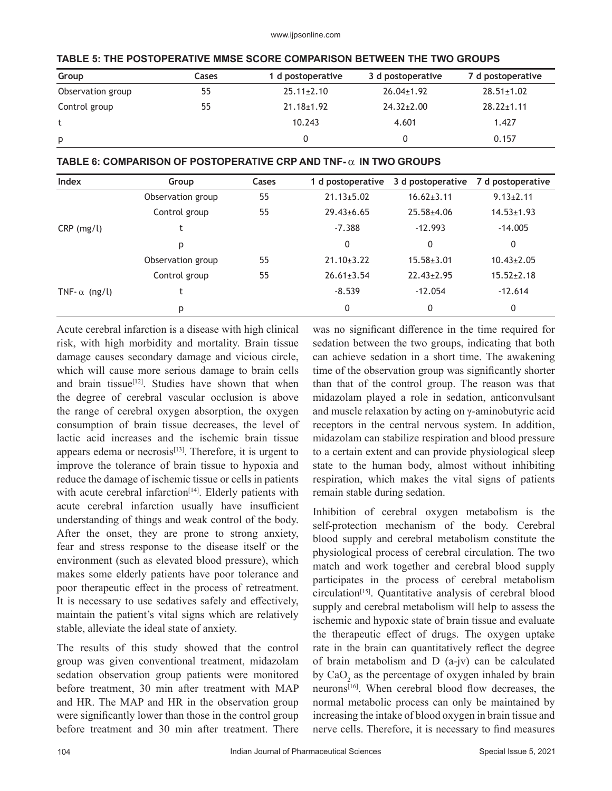| Group             | Cases | 1 d postoperative | 3 d postoperative | 7 d postoperative |
|-------------------|-------|-------------------|-------------------|-------------------|
| Observation group | 55    | $25.11 \pm 2.10$  | $26.04 \pm 1.92$  | $28.51 \pm 1.02$  |
| Control group     | 55    | $21.18 \pm 1.92$  | $24.32 \pm 2.00$  | $28.22 \pm 1.11$  |
|                   |       | 10.243            | 4.601             | 1.427             |
| p                 |       |                   |                   | 0.157             |

## **TABLE 6: COMPARISON OF POSTOPERATIVE CRP AND TNF- IN TWO GROUPS**

| <b>Index</b>         | Group             | Cases | 1 d postoperative | 3 d postoperative | 7 d postoperative |
|----------------------|-------------------|-------|-------------------|-------------------|-------------------|
|                      | Observation group | 55    | $21.13 \pm 5.02$  | $16.62 \pm 3.11$  | $9.13 \pm 2.11$   |
|                      | Control group     | 55    | $29.43 \pm 6.65$  | $25.58 \pm 4.06$  | $14.53 \pm 1.93$  |
| $CRP$ (mg/l)         |                   |       | $-7.388$          | $-12.993$         | $-14.005$         |
|                      | p                 |       | 0                 | 0                 | 0                 |
|                      | Observation group | 55    | $21.10 \pm 3.22$  | $15.58 \pm 3.01$  | $10.43 \pm 2.05$  |
|                      | Control group     | 55    | $26.61 \pm 3.54$  | $22.43 \pm 2.95$  | $15.52 \pm 2.18$  |
| TNF- $\alpha$ (ng/l) |                   |       | $-8.539$          | $-12.054$         | $-12.614$         |
|                      | p                 |       | 0                 | 0                 | 0                 |

Acute cerebral infarction is a disease with high clinical risk, with high morbidity and mortality. Brain tissue damage causes secondary damage and vicious circle, which will cause more serious damage to brain cells and brain tissue<sup>[12]</sup>. Studies have shown that when the degree of cerebral vascular occlusion is above the range of cerebral oxygen absorption, the oxygen consumption of brain tissue decreases, the level of lactic acid increases and the ischemic brain tissue appears edema or necrosis $[13]$ . Therefore, it is urgent to improve the tolerance of brain tissue to hypoxia and reduce the damage of ischemic tissue or cells in patients with acute cerebral infarction<sup>[14]</sup>. Elderly patients with acute cerebral infarction usually have insufficient understanding of things and weak control of the body. After the onset, they are prone to strong anxiety, fear and stress response to the disease itself or the environment (such as elevated blood pressure), which makes some elderly patients have poor tolerance and poor therapeutic effect in the process of retreatment. It is necessary to use sedatives safely and effectively, maintain the patient's vital signs which are relatively stable, alleviate the ideal state of anxiety.

The results of this study showed that the control group was given conventional treatment, midazolam sedation observation group patients were monitored before treatment, 30 min after treatment with MAP and HR. The MAP and HR in the observation group were significantly lower than those in the control group before treatment and 30 min after treatment. There was no significant difference in the time required for sedation between the two groups, indicating that both can achieve sedation in a short time. The awakening time of the observation group was significantly shorter than that of the control group. The reason was that midazolam played a role in sedation, anticonvulsant and muscle relaxation by acting on γ-aminobutyric acid receptors in the central nervous system. In addition, midazolam can stabilize respiration and blood pressure to a certain extent and can provide physiological sleep state to the human body, almost without inhibiting respiration, which makes the vital signs of patients remain stable during sedation.

Inhibition of cerebral oxygen metabolism is the self-protection mechanism of the body. Cerebral blood supply and cerebral metabolism constitute the physiological process of cerebral circulation. The two match and work together and cerebral blood supply participates in the process of cerebral metabolism circulation[15]. Quantitative analysis of cerebral blood supply and cerebral metabolism will help to assess the ischemic and hypoxic state of brain tissue and evaluate the therapeutic effect of drugs. The oxygen uptake rate in the brain can quantitatively reflect the degree of brain metabolism and D (a-jv) can be calculated by  $CaO<sub>2</sub>$  as the percentage of oxygen inhaled by brain neurons<sup>[16]</sup>. When cerebral blood flow decreases, the normal metabolic process can only be maintained by increasing the intake of blood oxygen in brain tissue and nerve cells. Therefore, it is necessary to find measures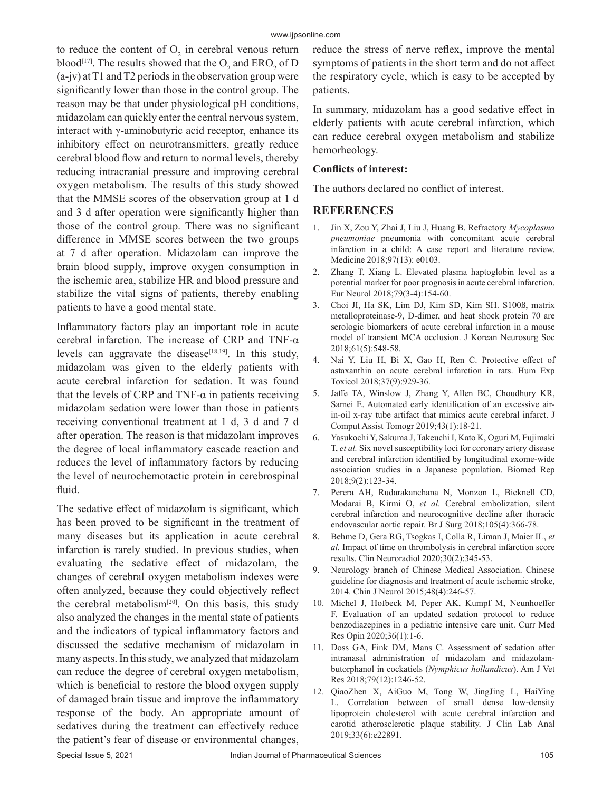to reduce the content of  $O_2$  in cerebral venous return blood<sup>[17]</sup>. The results showed that the  $O_2$  and  $ERO_2$  of D (a-jv) at T1 and T2 periods in the observation group were significantly lower than those in the control group. The reason may be that under physiological pH conditions, midazolam can quickly enter the central nervous system, interact with γ-aminobutyric acid receptor, enhance its inhibitory effect on neurotransmitters, greatly reduce cerebral blood flow and return to normal levels, thereby reducing intracranial pressure and improving cerebral oxygen metabolism. The results of this study showed that the MMSE scores of the observation group at 1 d and 3 d after operation were significantly higher than those of the control group. There was no significant difference in MMSE scores between the two groups at 7 d after operation. Midazolam can improve the brain blood supply, improve oxygen consumption in the ischemic area, stabilize HR and blood pressure and stabilize the vital signs of patients, thereby enabling patients to have a good mental state.

Inflammatory factors play an important role in acute cerebral infarction. The increase of CRP and TNF-α levels can aggravate the disease<sup>[18,19]</sup>. In this study, midazolam was given to the elderly patients with acute cerebral infarction for sedation. It was found that the levels of CRP and TNF- $α$  in patients receiving midazolam sedation were lower than those in patients receiving conventional treatment at 1 d, 3 d and 7 d after operation. The reason is that midazolam improves the degree of local inflammatory cascade reaction and reduces the level of inflammatory factors by reducing the level of neurochemotactic protein in cerebrospinal fluid.

The sedative effect of midazolam is significant, which has been proved to be significant in the treatment of many diseases but its application in acute cerebral infarction is rarely studied. In previous studies, when evaluating the sedative effect of midazolam, the changes of cerebral oxygen metabolism indexes were often analyzed, because they could objectively reflect the cerebral metabolism<sup>[20]</sup>. On this basis, this study also analyzed the changes in the mental state of patients and the indicators of typical inflammatory factors and discussed the sedative mechanism of midazolam in many aspects. In this study, we analyzed that midazolam can reduce the degree of cerebral oxygen metabolism, which is beneficial to restore the blood oxygen supply of damaged brain tissue and improve the inflammatory response of the body. An appropriate amount of sedatives during the treatment can effectively reduce the patient's fear of disease or environmental changes,

reduce the stress of nerve reflex, improve the mental symptoms of patients in the short term and do not affect the respiratory cycle, which is easy to be accepted by patients.

In summary, midazolam has a good sedative effect in elderly patients with acute cerebral infarction, which can reduce cerebral oxygen metabolism and stabilize hemorheology.

### **Conflicts of interest:**

The authors declared no conflict of interest.

## **REFERENCES**

- 1. Jin X, Zou Y, Zhai J, Liu J, Huang B. Refractory *Mycoplasma pneumoniae* pneumonia with concomitant acute cerebral infarction in a child: A case report and literature review. Medicine 2018;97(13): e0103.
- 2. Zhang T, Xiang L. Elevated plasma haptoglobin level as a potential marker for poor prognosis in acute cerebral infarction. Eur Neurol 2018;79(3-4):154-60.
- 3. Choi JI, Ha SK, Lim DJ, Kim SD, Kim SH. S100ß, matrix metalloproteinase-9, D-dimer, and heat shock protein 70 are serologic biomarkers of acute cerebral infarction in a mouse model of transient MCA occlusion. J Korean Neurosurg Soc 2018;61(5):548-58.
- 4. Nai Y, Liu H, Bi X, Gao H, Ren C. Protective effect of astaxanthin on acute cerebral infarction in rats. Hum Exp Toxicol 2018;37(9):929-36.
- 5. Jaffe TA, Winslow J, Zhang Y, Allen BC, Choudhury KR, Samei E. Automated early identification of an excessive airin-oil x-ray tube artifact that mimics acute cerebral infarct. J Comput Assist Tomogr 2019;43(1):18-21.
- 6. Yasukochi Y, Sakuma J, Takeuchi I, Kato K, Oguri M, Fujimaki T, *et al.* Six novel susceptibility loci for coronary artery disease and cerebral infarction identified by longitudinal exome-wide association studies in a Japanese population. Biomed Rep 2018;9(2):123-34.
- 7. Perera AH, Rudarakanchana N, Monzon L, Bicknell CD, Modarai B, Kirmi O, *et al.* Cerebral embolization, silent cerebral infarction and neurocognitive decline after thoracic endovascular aortic repair. Br J Surg 2018;105(4):366-78.
- 8. Behme D, Gera RG, Tsogkas I, Colla R, Liman J, Maier IL, *et al.* Impact of time on thrombolysis in cerebral infarction score results. Clin Neuroradiol 2020;30(2):345-53.
- 9. Neurology branch of Chinese Medical Association. Chinese guideline for diagnosis and treatment of acute ischemic stroke, 2014. Chin J Neurol 2015;48(4):246-57.
- 10. Michel J, Hofbeck M, Peper AK, Kumpf M, Neunhoeffer F. Evaluation of an updated sedation protocol to reduce benzodiazepines in a pediatric intensive care unit. Curr Med Res Opin 2020;36(1):1-6.
- 11. Doss GA, Fink DM, Mans C. Assessment of sedation after intranasal administration of midazolam and midazolambutorphanol in cockatiels (*Nymphicus hollandicus*). Am J Vet Res 2018;79(12):1246-52.
- 12. QiaoZhen X, AiGuo M, Tong W, JingJing L, HaiYing L. Correlation between of small dense low-density lipoprotein cholesterol with acute cerebral infarction and carotid atherosclerotic plaque stability. J Clin Lab Anal 2019;33(6):e22891.